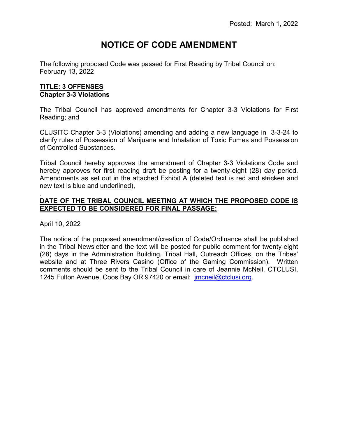# **NOTICE OF CODE AMENDMENT**

The following proposed Code was passed for First Reading by Tribal Council on: February 13, 2022

# **TITLE: 3 OFFENSES Chapter 3-3 Violations**

The Tribal Council has approved amendments for Chapter 3-3 Violations for First Reading; and

CLUSITC Chapter 3-3 (Violations) amending and adding a new language in 3-3-24 to clarify rules of Possession of Marijuana and Inhalation of Toxic Fumes and Possession of Controlled Substances.

Tribal Council hereby approves the amendment of Chapter 3-3 Violations Code and hereby approves for first reading draft be posting for a twenty-eight (28) day period. Amendments as set out in the attached Exhibit A (deleted text is red and stricken and new text is blue and underlined),

#### . **DATE OF THE TRIBAL COUNCIL MEETING AT WHICH THE PROPOSED CODE IS EXPECTED TO BE CONSIDERED FOR FINAL PASSAGE:**

April 10, 2022

The notice of the proposed amendment/creation of Code/Ordinance shall be published in the Tribal Newsletter and the text will be posted for public comment for twenty-eight (28) days in the Administration Building, Tribal Hall, Outreach Offices, on the Tribes' website and at Three Rivers Casino (Office of the Gaming Commission). Written comments should be sent to the Tribal Council in care of Jeannie McNeil, CTCLUSI, 1245 Fulton Avenue, Coos Bay OR 97420 or email: *imcneil@ctclusi.org.*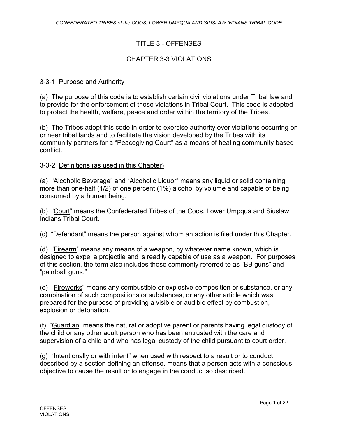# TITLE 3 - OFFENSES

## CHAPTER 3-3 VIOLATIONS

#### 3-3-1 Purpose and Authority

(a) The purpose of this code is to establish certain civil violations under Tribal law and to provide for the enforcement of those violations in Tribal Court. This code is adopted to protect the health, welfare, peace and order within the territory of the Tribes.

(b) The Tribes adopt this code in order to exercise authority over violations occurring on or near tribal lands and to facilitate the vision developed by the Tribes with its community partners for a "Peacegiving Court" as a means of healing community based conflict.

#### 3-3-2 Definitions (as used in this Chapter)

(a) "Alcoholic Beverage" and "Alcoholic Liquor" means any liquid or solid containing more than one-half (1/2) of one percent (1%) alcohol by volume and capable of being consumed by a human being.

(b) "Court" means the Confederated Tribes of the Coos, Lower Umpqua and Siuslaw Indians Tribal Court.

(c) "Defendant" means the person against whom an action is filed under this Chapter.

(d) "Firearm" means any means of a weapon, by whatever name known, which is designed to expel a projectile and is readily capable of use as a weapon. For purposes of this section, the term also includes those commonly referred to as "BB guns" and "paintball guns."

(e) "Fireworks" means any combustible or explosive composition or substance, or any combination of such compositions or substances, or any other article which was prepared for the purpose of providing a visible or audible effect by combustion, explosion or detonation.

(f) "Guardian" means the natural or adoptive parent or parents having legal custody of the child or any other adult person who has been entrusted with the care and supervision of a child and who has legal custody of the child pursuant to court order.

(g) "Intentionally or with intent" when used with respect to a result or to conduct described by a section defining an offense, means that a person acts with a conscious objective to cause the result or to engage in the conduct so described.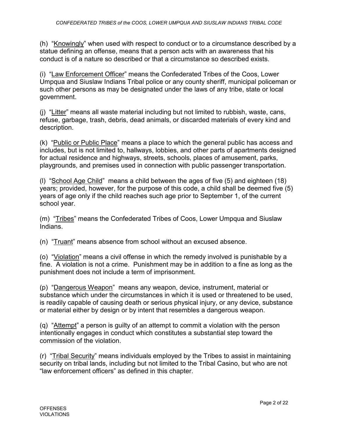(h) "Knowingly" when used with respect to conduct or to a circumstance described by a statue defining an offense, means that a person acts with an awareness that his conduct is of a nature so described or that a circumstance so described exists.

(i) "Law Enforcement Officer" means the Confederated Tribes of the Coos, Lower Umpqua and Siuslaw Indians Tribal police or any county sheriff, municipal policeman or such other persons as may be designated under the laws of any tribe, state or local government.

(j) "Litter" means all waste material including but not limited to rubbish, waste, cans, refuse, garbage, trash, debris, dead animals, or discarded materials of every kind and description.

(k) "Public or Public Place" means a place to which the general public has access and includes, but is not limited to, hallways, lobbies, and other parts of apartments designed for actual residence and highways, streets, schools, places of amusement, parks, playgrounds, and premises used in connection with public passenger transportation.

(l) "School Age Child" means a child between the ages of five (5) and eighteen (18) years; provided, however, for the purpose of this code, a child shall be deemed five (5) years of age only if the child reaches such age prior to September 1, of the current school year.

(m) "Tribes" means the Confederated Tribes of Coos, Lower Umpqua and Siuslaw Indians.

(n) "Truant" means absence from school without an excused absence.

(o) "Violation" means a civil offense in which the remedy involved is punishable by a fine. A violation is not a crime. Punishment may be in addition to a fine as long as the punishment does not include a term of imprisonment.

(p) "Dangerous Weapon" means any weapon, device, instrument, material or substance which under the circumstances in which it is used or threatened to be used, is readily capable of causing death or serious physical injury, or any device, substance or material either by design or by intent that resembles a dangerous weapon.

(q) "Attempt" a person is guilty of an attempt to commit a violation with the person intentionally engages in conduct which constitutes a substantial step toward the commission of the violation.

(r) "Tribal Security" means individuals employed by the Tribes to assist in maintaining security on tribal lands, including but not limited to the Tribal Casino, but who are not "law enforcement officers" as defined in this chapter.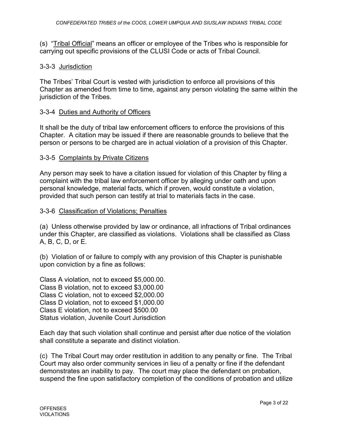(s) "Tribal Official" means an officer or employee of the Tribes who is responsible for carrying out specific provisions of the CLUSI Code or acts of Tribal Council.

# 3-3-3 Jurisdiction

The Tribes' Tribal Court is vested with jurisdiction to enforce all provisions of this Chapter as amended from time to time, against any person violating the same within the jurisdiction of the Tribes.

# 3-3-4 Duties and Authority of Officers

It shall be the duty of tribal law enforcement officers to enforce the provisions of this Chapter. A citation may be issued if there are reasonable grounds to believe that the person or persons to be charged are in actual violation of a provision of this Chapter.

# 3-3-5 Complaints by Private Citizens

Any person may seek to have a citation issued for violation of this Chapter by filing a complaint with the tribal law enforcement officer by alleging under oath and upon personal knowledge, material facts, which if proven, would constitute a violation, provided that such person can testify at trial to materials facts in the case.

# 3-3-6 Classification of Violations; Penalties

(a) Unless otherwise provided by law or ordinance, all infractions of Tribal ordinances under this Chapter, are classified as violations. Violations shall be classified as Class A, B, C, D, or E.

(b) Violation of or failure to comply with any provision of this Chapter is punishable upon conviction by a fine as follows:

Class A violation, not to exceed \$5,000.00. Class B violation, not to exceed \$3,000.00 Class C violation, not to exceed \$2,000.00 Class D violation, not to exceed \$1,000.00 Class E violation, not to exceed \$500.00 Status violation, Juvenile Court Jurisdiction

Each day that such violation shall continue and persist after due notice of the violation shall constitute a separate and distinct violation.

(c) The Tribal Court may order restitution in addition to any penalty or fine. The Tribal Court may also order community services in lieu of a penalty or fine if the defendant demonstrates an inability to pay. The court may place the defendant on probation, suspend the fine upon satisfactory completion of the conditions of probation and utilize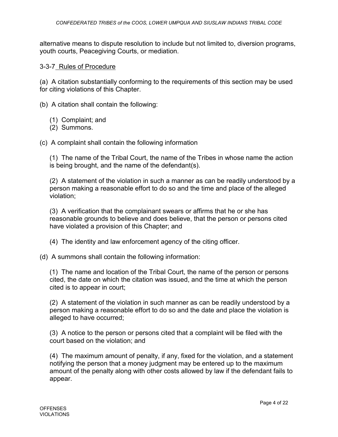alternative means to dispute resolution to include but not limited to, diversion programs, youth courts, Peacegiving Courts, or mediation.

## 3-3-7 Rules of Procedure

(a) A citation substantially conforming to the requirements of this section may be used for citing violations of this Chapter.

(b) A citation shall contain the following:

- (1) Complaint; and
- (2) Summons.

(c) A complaint shall contain the following information

(1) The name of the Tribal Court, the name of the Tribes in whose name the action is being brought, and the name of the defendant(s).

(2) A statement of the violation in such a manner as can be readily understood by a person making a reasonable effort to do so and the time and place of the alleged violation;

(3) A verification that the complainant swears or affirms that he or she has reasonable grounds to believe and does believe, that the person or persons cited have violated a provision of this Chapter; and

- (4) The identity and law enforcement agency of the citing officer.
- (d) A summons shall contain the following information:

(1) The name and location of the Tribal Court, the name of the person or persons cited, the date on which the citation was issued, and the time at which the person cited is to appear in court;

(2) A statement of the violation in such manner as can be readily understood by a person making a reasonable effort to do so and the date and place the violation is alleged to have occurred;

(3) A notice to the person or persons cited that a complaint will be filed with the court based on the violation; and

(4) The maximum amount of penalty, if any, fixed for the violation, and a statement notifying the person that a money judgment may be entered up to the maximum amount of the penalty along with other costs allowed by law if the defendant fails to appear.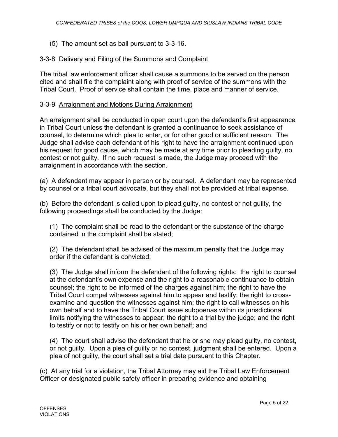(5) The amount set as bail pursuant to 3-3-16.

# 3-3-8 Delivery and Filing of the Summons and Complaint

The tribal law enforcement officer shall cause a summons to be served on the person cited and shall file the complaint along with proof of service of the summons with the Tribal Court. Proof of service shall contain the time, place and manner of service.

# 3-3-9 Arraignment and Motions During Arraignment

An arraignment shall be conducted in open court upon the defendant's first appearance in Tribal Court unless the defendant is granted a continuance to seek assistance of counsel, to determine which plea to enter, or for other good or sufficient reason. The Judge shall advise each defendant of his right to have the arraignment continued upon his request for good cause, which may be made at any time prior to pleading guilty, no contest or not guilty. If no such request is made, the Judge may proceed with the arraignment in accordance with the section.

(a) A defendant may appear in person or by counsel. A defendant may be represented by counsel or a tribal court advocate, but they shall not be provided at tribal expense.

(b) Before the defendant is called upon to plead guilty, no contest or not guilty, the following proceedings shall be conducted by the Judge:

(1) The complaint shall be read to the defendant or the substance of the charge contained in the complaint shall be stated;

(2) The defendant shall be advised of the maximum penalty that the Judge may order if the defendant is convicted;

(3) The Judge shall inform the defendant of the following rights: the right to counsel at the defendant's own expense and the right to a reasonable continuance to obtain counsel; the right to be informed of the charges against him; the right to have the Tribal Court compel witnesses against him to appear and testify; the right to crossexamine and question the witnesses against him; the right to call witnesses on his own behalf and to have the Tribal Court issue subpoenas within its jurisdictional limits notifying the witnesses to appear; the right to a trial by the judge; and the right to testify or not to testify on his or her own behalf; and

(4) The court shall advise the defendant that he or she may plead guilty, no contest, or not guilty. Upon a plea of guilty or no contest, judgment shall be entered. Upon a plea of not guilty, the court shall set a trial date pursuant to this Chapter.

(c) At any trial for a violation, the Tribal Attorney may aid the Tribal Law Enforcement Officer or designated public safety officer in preparing evidence and obtaining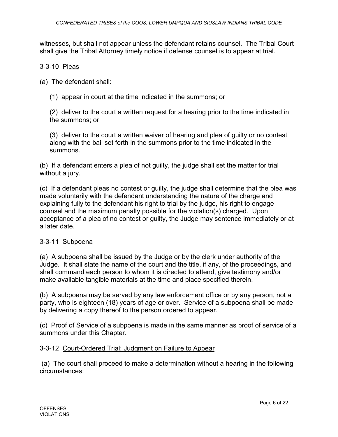witnesses, but shall not appear unless the defendant retains counsel. The Tribal Court shall give the Tribal Attorney timely notice if defense counsel is to appear at trial.

## 3-3-10 Pleas

(a) The defendant shall:

(1) appear in court at the time indicated in the summons; or

(2) deliver to the court a written request for a hearing prior to the time indicated in the summons; or

(3) deliver to the court a written waiver of hearing and plea of guilty or no contest along with the bail set forth in the summons prior to the time indicated in the summons.

(b) If a defendant enters a plea of not guilty, the judge shall set the matter for trial without a jury.

(c) If a defendant pleas no contest or guilty, the judge shall determine that the plea was made voluntarily with the defendant understanding the nature of the charge and explaining fully to the defendant his right to trial by the judge, his right to engage counsel and the maximum penalty possible for the violation(s) charged. Upon acceptance of a plea of no contest or guilty, the Judge may sentence immediately or at a later date.

## 3-3-11 Subpoena

(a) A subpoena shall be issued by the Judge or by the clerk under authority of the Judge. It shall state the name of the court and the title, if any, of the proceedings, and shall command each person to whom it is directed to attend, give testimony and/or make available tangible materials at the time and place specified therein.

(b) A subpoena may be served by any law enforcement office or by any person, not a party, who is eighteen (18) years of age or over. Service of a subpoena shall be made by delivering a copy thereof to the person ordered to appear.

(c) Proof of Service of a subpoena is made in the same manner as proof of service of a summons under this Chapter.

## 3-3-12 Court-Ordered Trial; Judgment on Failure to Appear

(a) The court shall proceed to make a determination without a hearing in the following circumstances: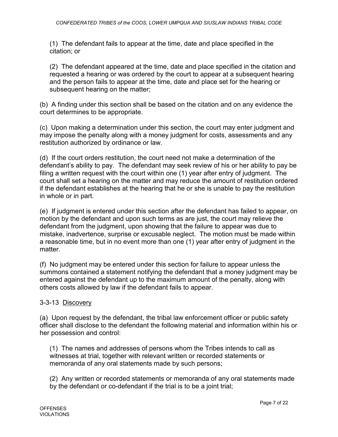(1) The defendant fails to appear at the time, date and place specified in the citation; or

(2) The defendant appeared at the time, date and place specified in the citation and requested a hearing or was ordered by the court to appear at a subsequent hearing and the person fails to appear at the time, date and place set for the hearing or subsequent hearing on the matter;

(b) A finding under this section shall be based on the citation and on any evidence the court determines to be appropriate.

(c) Upon making a determination under this section, the court may enter judgment and may impose the penalty along with a money judgment for costs, assessments and any restitution authorized by ordinance or law.

(d) If the court orders restitution, the court need not make a determination of the defendant's ability to pay. The defendant may seek review of his or her ability to pay be filing a written request with the court within one (1) year after entry of judgment. The court shall set a hearing on the matter and may reduce the amount of restitution ordered if the defendant establishes at the hearing that he or she is unable to pay the restitution in whole or in part.

(e) If judgment is entered under this section after the defendant has failed to appear, on motion by the defendant and upon such terms as are just, the court may relieve the defendant from the judgment, upon showing that the failure to appear was due to mistake, inadvertence, surprise or excusable neglect. The motion must be made within a reasonable time, but in no event more than one (1) year after entry of judgment in the matter.

(f) No judgment may be entered under this section for failure to appear unless the summons contained a statement notifying the defendant that a money judgment may be entered against the defendant up to the maximum amount of the penalty, along with others costs allowed by law if the defendant fails to appear.

# 3-3-13 Discovery

(a) Upon request by the defendant, the tribal law enforcement officer or public safety officer shall disclose to the defendant the following material and information within his or her possession and control:

(1) The names and addresses of persons whom the Tribes intends to call as witnesses at trial, together with relevant written or recorded statements or memoranda of any oral statements made by such persons;

(2) Any written or recorded statements or memoranda of any oral statements made by the defendant or co-defendant if the trial is to be a joint trial;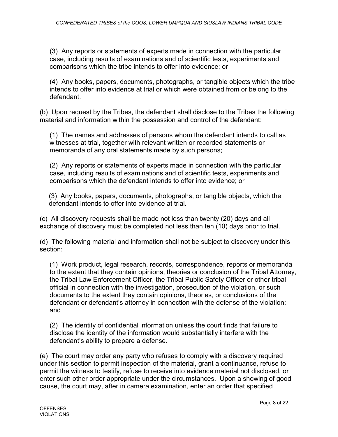(3) Any reports or statements of experts made in connection with the particular case, including results of examinations and of scientific tests, experiments and comparisons which the tribe intends to offer into evidence; or

(4) Any books, papers, documents, photographs, or tangible objects which the tribe intends to offer into evidence at trial or which were obtained from or belong to the defendant.

(b) Upon request by the Tribes, the defendant shall disclose to the Tribes the following material and information within the possession and control of the defendant:

(1) The names and addresses of persons whom the defendant intends to call as witnesses at trial, together with relevant written or recorded statements or memoranda of any oral statements made by such persons;

(2) Any reports or statements of experts made in connection with the particular case, including results of examinations and of scientific tests, experiments and comparisons which the defendant intends to offer into evidence; or

(3) Any books, papers, documents, photographs, or tangible objects, which the defendant intends to offer into evidence at trial.

(c) All discovery requests shall be made not less than twenty (20) days and all exchange of discovery must be completed not less than ten (10) days prior to trial.

(d) The following material and information shall not be subject to discovery under this section:

(1) Work product, legal research, records, correspondence, reports or memoranda to the extent that they contain opinions, theories or conclusion of the Tribal Attorney, the Tribal Law Enforcement Officer, the Tribal Public Safety Officer or other tribal official in connection with the investigation, prosecution of the violation, or such documents to the extent they contain opinions, theories, or conclusions of the defendant or defendant's attorney in connection with the defense of the violation; and

(2) The identity of confidential information unless the court finds that failure to disclose the identity of the information would substantially interfere with the defendant's ability to prepare a defense.

(e) The court may order any party who refuses to comply with a discovery required under this section to permit inspection of the material, grant a continuance, refuse to permit the witness to testify, refuse to receive into evidence material not disclosed, or enter such other order appropriate under the circumstances. Upon a showing of good cause, the court may, after in camera examination, enter an order that specified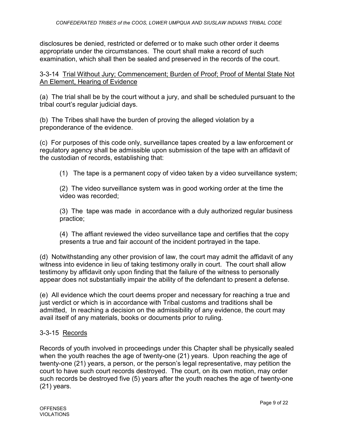disclosures be denied, restricted or deferred or to make such other order it deems appropriate under the circumstances. The court shall make a record of such examination, which shall then be sealed and preserved in the records of the court.

3-3-14 Trial Without Jury; Commencement; Burden of Proof; Proof of Mental State Not An Element, Hearing of Evidence

(a) The trial shall be by the court without a jury, and shall be scheduled pursuant to the tribal court's regular judicial days.

(b) The Tribes shall have the burden of proving the alleged violation by a preponderance of the evidence.

(c) For purposes of this code only, surveillance tapes created by a law enforcement or regulatory agency shall be admissible upon submission of the tape with an affidavit of the custodian of records, establishing that:

(1) The tape is a permanent copy of video taken by a video surveillance system;

(2) The video surveillance system was in good working order at the time the video was recorded;

(3) The tape was made in accordance with a duly authorized regular business practice;

(4) The affiant reviewed the video surveillance tape and certifies that the copy presents a true and fair account of the incident portrayed in the tape.

(d) Notwithstanding any other provision of law, the court may admit the affidavit of any witness into evidence in lieu of taking testimony orally in court. The court shall allow testimony by affidavit only upon finding that the failure of the witness to personally appear does not substantially impair the ability of the defendant to present a defense.

(e) All evidence which the court deems proper and necessary for reaching a true and just verdict or which is in accordance with Tribal customs and traditions shall be admitted, In reaching a decision on the admissibility of any evidence, the court may avail itself of any materials, books or documents prior to ruling.

# 3-3-15 Records

Records of youth involved in proceedings under this Chapter shall be physically sealed when the youth reaches the age of twenty-one (21) years. Upon reaching the age of twenty-one (21) years, a person, or the person's legal representative, may petition the court to have such court records destroyed. The court, on its own motion, may order such records be destroyed five (5) years after the youth reaches the age of twenty-one (21) years.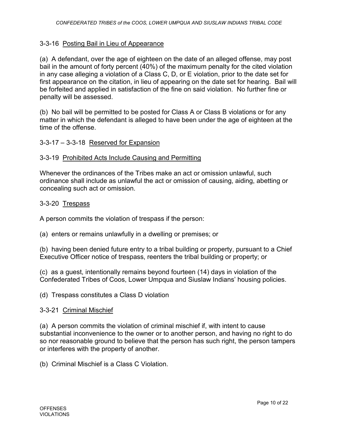# 3-3-16 Posting Bail in Lieu of Appearance

(a) A defendant, over the age of eighteen on the date of an alleged offense, may post bail in the amount of forty percent (40%) of the maximum penalty for the cited violation in any case alleging a violation of a Class C, D, or E violation, prior to the date set for first appearance on the citation, in lieu of appearing on the date set for hearing. Bail will be forfeited and applied in satisfaction of the fine on said violation. No further fine or penalty will be assessed.

(b) No bail will be permitted to be posted for Class A or Class B violations or for any matter in which the defendant is alleged to have been under the age of eighteen at the time of the offense.

# 3-3-17 – 3-3-18 Reserved for Expansion

## 3-3-19 Prohibited Acts Include Causing and Permitting

Whenever the ordinances of the Tribes make an act or omission unlawful, such ordinance shall include as unlawful the act or omission of causing, aiding, abetting or concealing such act or omission.

## 3-3-20 Trespass

A person commits the violation of trespass if the person:

(a) enters or remains unlawfully in a dwelling or premises; or

(b) having been denied future entry to a tribal building or property, pursuant to a Chief Executive Officer notice of trespass, reenters the tribal building or property; or

(c) as a guest, intentionally remains beyond fourteen (14) days in violation of the Confederated Tribes of Coos, Lower Umpqua and Siuslaw Indians' housing policies.

(d) Trespass constitutes a Class D violation

#### 3-3-21 Criminal Mischief

(a) A person commits the violation of criminal mischief if, with intent to cause substantial inconvenience to the owner or to another person, and having no right to do so nor reasonable ground to believe that the person has such right, the person tampers or interferes with the property of another.

(b) Criminal Mischief is a Class C Violation.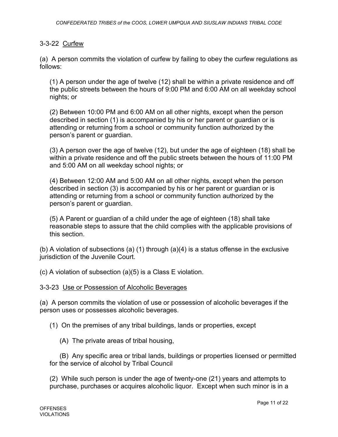## 3-3-22 Curfew

(a) A person commits the violation of curfew by failing to obey the curfew regulations as follows:

(1) A person under the age of twelve (12) shall be within a private residence and off the public streets between the hours of 9:00 PM and 6:00 AM on all weekday school nights; or

(2) Between 10:00 PM and 6:00 AM on all other nights, except when the person described in section (1) is accompanied by his or her parent or guardian or is attending or returning from a school or community function authorized by the person's parent or guardian.

(3) A person over the age of twelve (12), but under the age of eighteen (18) shall be within a private residence and off the public streets between the hours of 11:00 PM and 5:00 AM on all weekday school nights; or

(4) Between 12:00 AM and 5:00 AM on all other nights, except when the person described in section (3) is accompanied by his or her parent or guardian or is attending or returning from a school or community function authorized by the person's parent or guardian.

(5) A Parent or guardian of a child under the age of eighteen (18) shall take reasonable steps to assure that the child complies with the applicable provisions of this section.

(b) A violation of subsections (a) (1) through (a)(4) is a status offense in the exclusive jurisdiction of the Juvenile Court.

(c) A violation of subsection (a)(5) is a Class E violation.

#### 3-3-23 Use or Possession of Alcoholic Beverages

(a) A person commits the violation of use or possession of alcoholic beverages if the person uses or possesses alcoholic beverages.

(1) On the premises of any tribal buildings, lands or properties, except

(A) The private areas of tribal housing,

(B) Any specific area or tribal lands, buildings or properties licensed or permitted for the service of alcohol by Tribal Council

(2) While such person is under the age of twenty-one (21) years and attempts to purchase, purchases or acquires alcoholic liquor. Except when such minor is in a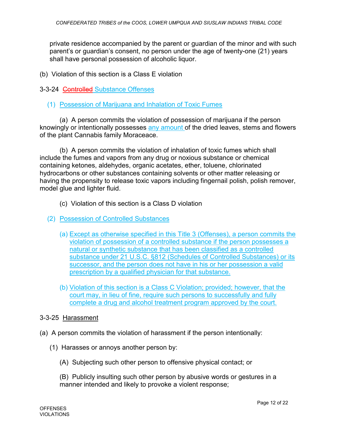private residence accompanied by the parent or guardian of the minor and with such parent's or guardian's consent, no person under the age of twenty-one (21) years shall have personal possession of alcoholic liquor.

(b) Violation of this section is a Class E violation

3-3-24 Controlled Substance Offenses

# (1) Possession of Marijuana and Inhalation of Toxic Fumes

(a) A person commits the violation of possession of marijuana if the person knowingly or intentionally possesses any amount of the dried leaves, stems and flowers of the plant Cannabis family Moraceace.

(b) A person commits the violation of inhalation of toxic fumes which shall include the fumes and vapors from any drug or noxious substance or chemical containing ketones, aldehydes, organic acetates, ether, toluene, chlorinated hydrocarbons or other substances containing solvents or other matter releasing or having the propensity to release toxic vapors including fingernail polish, polish remover, model glue and lighter fluid.

- (c) Violation of this section is a Class D violation
- (2) Possession of Controlled Substances
	- (a) Except as otherwise specified in this Title 3 (Offenses), a person commits the violation of possession of a controlled substance if the person possesses a natural or synthetic substance that has been classified as a controlled substance under 21 U.S.C. §812 (Schedules of Controlled Substances) or its successor, and the person does not have in his or her possession a valid prescription by a qualified physician for that substance.
	- (b) Violation of this section is a Class C Violation; provided; however, that the court may, in lieu of fine, require such persons to successfully and fully complete a drug and alcohol treatment program approved by the court.

## 3-3-25 Harassment

- (a) A person commits the violation of harassment if the person intentionally:
	- (1) Harasses or annoys another person by:
		- (A) Subjecting such other person to offensive physical contact; or

(B) Publicly insulting such other person by abusive words or gestures in a manner intended and likely to provoke a violent response;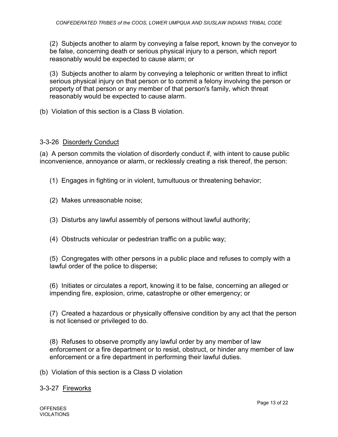(2) Subjects another to alarm by conveying a false report, known by the conveyor to be false, concerning death or serious physical injury to a person, which report reasonably would be expected to cause alarm; or

(3) Subjects another to alarm by conveying a telephonic or written threat to inflict serious physical injury on that person or to commit a felony involving the person or property of that person or any member of that person's family, which threat reasonably would be expected to cause alarm.

(b) Violation of this section is a Class B violation.

#### 3-3-26 Disorderly Conduct

(a) A person commits the violation of disorderly conduct if, with intent to cause public inconvenience, annoyance or alarm, or recklessly creating a risk thereof, the person:

- (1) Engages in fighting or in violent, tumultuous or threatening behavior;
- (2) Makes unreasonable noise;
- (3) Disturbs any lawful assembly of persons without lawful authority;
- (4) Obstructs vehicular or pedestrian traffic on a public way;

(5) Congregates with other persons in a public place and refuses to comply with a lawful order of the police to disperse;

(6) Initiates or circulates a report, knowing it to be false, concerning an alleged or impending fire, explosion, crime, catastrophe or other emergency; or

(7) Created a hazardous or physically offensive condition by any act that the person is not licensed or privileged to do.

(8) Refuses to observe promptly any lawful order by any member of law enforcement or a fire department or to resist, obstruct, or hinder any member of law enforcement or a fire department in performing their lawful duties.

(b) Violation of this section is a Class D violation

3-3-27 Fireworks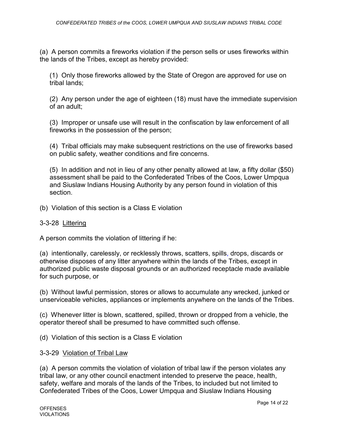(a) A person commits a fireworks violation if the person sells or uses fireworks within the lands of the Tribes, except as hereby provided:

(1) Only those fireworks allowed by the State of Oregon are approved for use on tribal lands;

(2) Any person under the age of eighteen (18) must have the immediate supervision of an adult;

(3) Improper or unsafe use will result in the confiscation by law enforcement of all fireworks in the possession of the person;

(4) Tribal officials may make subsequent restrictions on the use of fireworks based on public safety, weather conditions and fire concerns.

(5) In addition and not in lieu of any other penalty allowed at law, a fifty dollar (\$50) assessment shall be paid to the Confederated Tribes of the Coos, Lower Umpqua and Siuslaw Indians Housing Authority by any person found in violation of this section.

(b) Violation of this section is a Class E violation

## 3-3-28 Littering

A person commits the violation of littering if he:

(a) intentionally, carelessly, or recklessly throws, scatters, spills, drops, discards or otherwise disposes of any litter anywhere within the lands of the Tribes, except in authorized public waste disposal grounds or an authorized receptacle made available for such purpose, or

(b) Without lawful permission, stores or allows to accumulate any wrecked, junked or unserviceable vehicles, appliances or implements anywhere on the lands of the Tribes.

(c) Whenever litter is blown, scattered, spilled, thrown or dropped from a vehicle, the operator thereof shall be presumed to have committed such offense.

(d) Violation of this section is a Class E violation

#### 3-3-29 Violation of Tribal Law

(a) A person commits the violation of violation of tribal law if the person violates any tribal law, or any other council enactment intended to preserve the peace, health, safety, welfare and morals of the lands of the Tribes, to included but not limited to Confederated Tribes of the Coos, Lower Umpqua and Siuslaw Indians Housing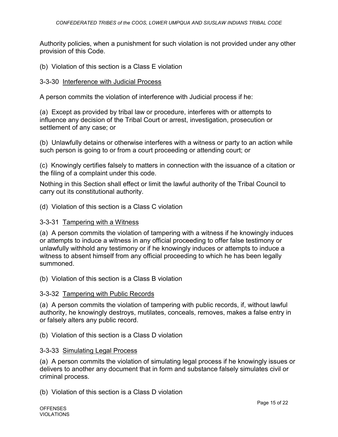Authority policies, when a punishment for such violation is not provided under any other provision of this Code.

(b) Violation of this section is a Class E violation

#### 3-3-30 Interference with Judicial Process

A person commits the violation of interference with Judicial process if he:

(a) Except as provided by tribal law or procedure, interferes with or attempts to influence any decision of the Tribal Court or arrest, investigation, prosecution or settlement of any case; or

(b) Unlawfully detains or otherwise interferes with a witness or party to an action while such person is going to or from a court proceeding or attending court; or

(c) Knowingly certifies falsely to matters in connection with the issuance of a citation or the filing of a complaint under this code.

Nothing in this Section shall effect or limit the lawful authority of the Tribal Council to carry out its constitutional authority.

(d) Violation of this section is a Class C violation

#### 3-3-31 Tampering with a Witness

(a) A person commits the violation of tampering with a witness if he knowingly induces or attempts to induce a witness in any official proceeding to offer false testimony or unlawfully withhold any testimony or if he knowingly induces or attempts to induce a witness to absent himself from any official proceeding to which he has been legally summoned.

(b) Violation of this section is a Class B violation

#### 3-3-32 Tampering with Public Records

(a) A person commits the violation of tampering with public records, if, without lawful authority, he knowingly destroys, mutilates, conceals, removes, makes a false entry in or falsely alters any public record.

(b) Violation of this section is a Class D violation

#### 3-3-33 Simulating Legal Process

(a) A person commits the violation of simulating legal process if he knowingly issues or delivers to another any document that in form and substance falsely simulates civil or criminal process.

(b) Violation of this section is a Class D violation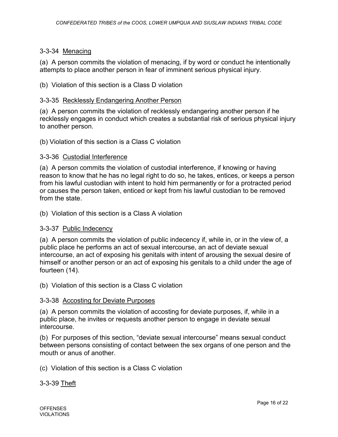# 3-3-34 Menacing

(a) A person commits the violation of menacing, if by word or conduct he intentionally attempts to place another person in fear of imminent serious physical injury.

(b) Violation of this section is a Class D violation

#### 3-3-35 Recklessly Endangering Another Person

(a) A person commits the violation of recklessly endangering another person if he recklessly engages in conduct which creates a substantial risk of serious physical injury to another person.

(b) Violation of this section is a Class C violation

### 3-3-36 Custodial Interference

(a) A person commits the violation of custodial interference, if knowing or having reason to know that he has no legal right to do so, he takes, entices, or keeps a person from his lawful custodian with intent to hold him permanently or for a protracted period or causes the person taken, enticed or kept from his lawful custodian to be removed from the state.

(b) Violation of this section is a Class A violation

## 3-3-37 Public Indecency

(a) A person commits the violation of public indecency if, while in, or in the view of, a public place he performs an act of sexual intercourse, an act of deviate sexual intercourse, an act of exposing his genitals with intent of arousing the sexual desire of himself or another person or an act of exposing his genitals to a child under the age of fourteen (14).

(b) Violation of this section is a Class C violation

#### 3-3-38 Accosting for Deviate Purposes

(a) A person commits the violation of accosting for deviate purposes, if, while in a public place, he invites or requests another person to engage in deviate sexual intercourse.

(b) For purposes of this section, "deviate sexual intercourse" means sexual conduct between persons consisting of contact between the sex organs of one person and the mouth or anus of another.

(c) Violation of this section is a Class C violation

3-3-39 Theft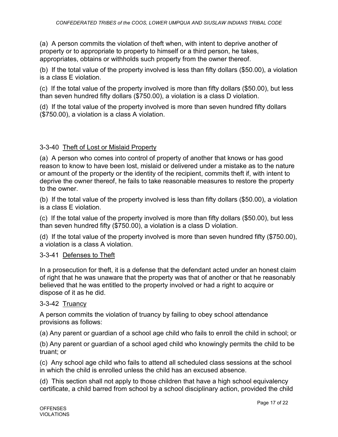(a) A person commits the violation of theft when, with intent to deprive another of property or to appropriate to property to himself or a third person, he takes, appropriates, obtains or withholds such property from the owner thereof.

(b) If the total value of the property involved is less than fifty dollars (\$50.00), a violation is a class E violation.

(c) If the total value of the property involved is more than fifty dollars (\$50.00), but less than seven hundred fifty dollars (\$750.00), a violation is a class D violation.

(d) If the total value of the property involved is more than seven hundred fifty dollars (\$750.00), a violation is a class A violation.

# 3-3-40 Theft of Lost or Mislaid Property

(a) A person who comes into control of property of another that knows or has good reason to know to have been lost, mislaid or delivered under a mistake as to the nature or amount of the property or the identity of the recipient, commits theft if, with intent to deprive the owner thereof, he fails to take reasonable measures to restore the property to the owner.

(b) If the total value of the property involved is less than fifty dollars (\$50.00), a violation is a class E violation.

(c) If the total value of the property involved is more than fifty dollars (\$50.00), but less than seven hundred fifty (\$750.00), a violation is a class D violation.

(d) If the total value of the property involved is more than seven hundred fifty (\$750.00), a violation is a class A violation.

# 3-3-41 Defenses to Theft

In a prosecution for theft, it is a defense that the defendant acted under an honest claim of right that he was unaware that the property was that of another or that he reasonably believed that he was entitled to the property involved or had a right to acquire or dispose of it as he did.

## 3-3-42 Truancy

A person commits the violation of truancy by failing to obey school attendance provisions as follows:

(a) Any parent or guardian of a school age child who fails to enroll the child in school; or

(b) Any parent or guardian of a school aged child who knowingly permits the child to be truant; or

(c) Any school age child who fails to attend all scheduled class sessions at the school in which the child is enrolled unless the child has an excused absence.

(d) This section shall not apply to those children that have a high school equivalency certificate, a child barred from school by a school disciplinary action, provided the child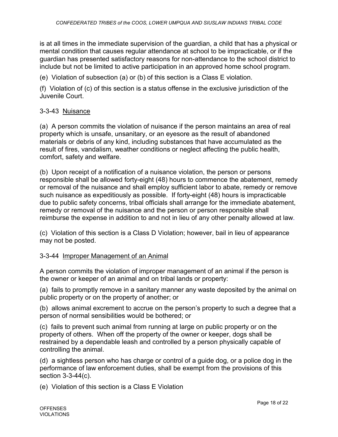is at all times in the immediate supervision of the guardian, a child that has a physical or mental condition that causes regular attendance at school to be impracticable, or if the guardian has presented satisfactory reasons for non-attendance to the school district to include but not be limited to active participation in an approved home school program.

(e) Violation of subsection (a) or (b) of this section is a Class E violation.

(f) Violation of (c) of this section is a status offense in the exclusive jurisdiction of the Juvenile Court.

# 3-3-43 Nuisance

(a) A person commits the violation of nuisance if the person maintains an area of real property which is unsafe, unsanitary, or an eyesore as the result of abandoned materials or debris of any kind, including substances that have accumulated as the result of fires, vandalism, weather conditions or neglect affecting the public health, comfort, safety and welfare.

(b) Upon receipt of a notification of a nuisance violation, the person or persons responsible shall be allowed forty-eight (48) hours to commence the abatement, remedy or removal of the nuisance and shall employ sufficient labor to abate, remedy or remove such nuisance as expeditiously as possible. If forty-eight (48) hours is impracticable due to public safety concerns, tribal officials shall arrange for the immediate abatement, remedy or removal of the nuisance and the person or person responsible shall reimburse the expense in addition to and not in lieu of any other penalty allowed at law.

(c) Violation of this section is a Class D Violation; however, bail in lieu of appearance may not be posted.

## 3-3-44 Improper Management of an Animal

A person commits the violation of improper management of an animal if the person is the owner or keeper of an animal and on tribal lands or property:

(a) fails to promptly remove in a sanitary manner any waste deposited by the animal on public property or on the property of another; or

(b) allows animal excrement to accrue on the person's property to such a degree that a person of normal sensibilities would be bothered; or

(c) fails to prevent such animal from running at large on public property or on the property of others. When off the property of the owner or keeper, dogs shall be restrained by a dependable leash and controlled by a person physically capable of controlling the animal.

(d) a sightless person who has charge or control of a guide dog, or a police dog in the performance of law enforcement duties, shall be exempt from the provisions of this section 3-3-44(c).

(e) Violation of this section is a Class E Violation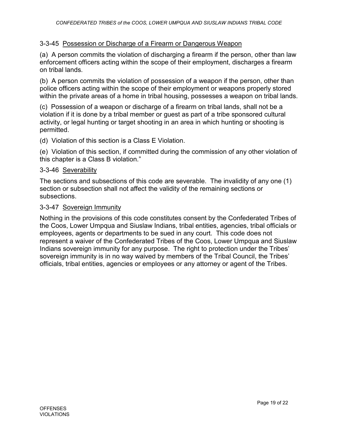# 3-3-45 Possession or Discharge of a Firearm or Dangerous Weapon

(a) A person commits the violation of discharging a firearm if the person, other than law enforcement officers acting within the scope of their employment, discharges a firearm on tribal lands.

(b) A person commits the violation of possession of a weapon if the person, other than police officers acting within the scope of their employment or weapons properly stored within the private areas of a home in tribal housing, possesses a weapon on tribal lands.

(c) Possession of a weapon or discharge of a firearm on tribal lands, shall not be a violation if it is done by a tribal member or guest as part of a tribe sponsored cultural activity, or legal hunting or target shooting in an area in which hunting or shooting is permitted.

(d) Violation of this section is a Class E Violation.

(e) Violation of this section, if committed during the commission of any other violation of this chapter is a Class B violation."

#### 3-3-46 Severability

The sections and subsections of this code are severable. The invalidity of any one (1) section or subsection shall not affect the validity of the remaining sections or subsections.

#### 3-3-47 Sovereign Immunity

Nothing in the provisions of this code constitutes consent by the Confederated Tribes of the Coos, Lower Umpqua and Siuslaw Indians, tribal entities, agencies, tribal officials or employees, agents or departments to be sued in any court. This code does not represent a waiver of the Confederated Tribes of the Coos, Lower Umpqua and Siuslaw Indians sovereign immunity for any purpose. The right to protection under the Tribes' sovereign immunity is in no way waived by members of the Tribal Council, the Tribes' officials, tribal entities, agencies or employees or any attorney or agent of the Tribes.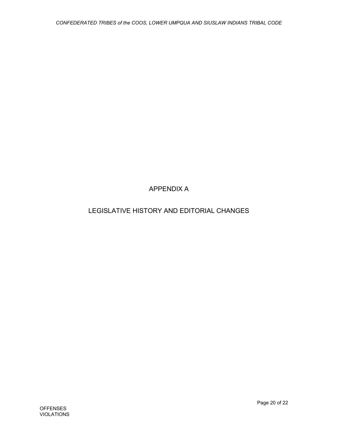# APPENDIX A

# LEGISLATIVE HISTORY AND EDITORIAL CHANGES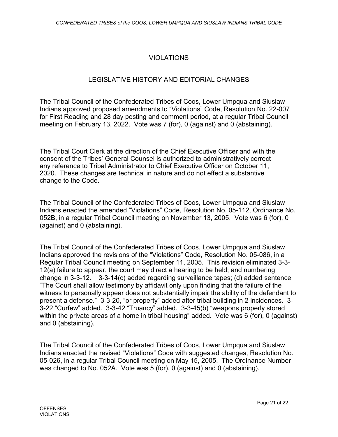# VIOLATIONS

# LEGISLATIVE HISTORY AND EDITORIAL CHANGES

The Tribal Council of the Confederated Tribes of Coos, Lower Umpqua and Siuslaw Indians approved proposed amendments to "Violations" Code, Resolution No. 22-007 for First Reading and 28 day posting and comment period, at a regular Tribal Council meeting on February 13, 2022. Vote was 7 (for), 0 (against) and 0 (abstaining).

The Tribal Court Clerk at the direction of the Chief Executive Officer and with the consent of the Tribes' General Counsel is authorized to administratively correct any reference to Tribal Administrator to Chief Executive Officer on October 11, 2020. These changes are technical in nature and do not effect a substantive change to the Code.

The Tribal Council of the Confederated Tribes of Coos, Lower Umpqua and Siuslaw Indians enacted the amended "Violations" Code, Resolution No. 05-112, Ordinance No. 052B, in a regular Tribal Council meeting on November 13, 2005. Vote was 6 (for), 0 (against) and 0 (abstaining).

The Tribal Council of the Confederated Tribes of Coos, Lower Umpqua and Siuslaw Indians approved the revisions of the "Violations" Code, Resolution No. 05-086, in a Regular Tribal Council meeting on September 11, 2005. This revision eliminated 3-3- 12(a) failure to appear, the court may direct a hearing to be held; and numbering change in 3-3-12. 3-3-14(c) added regarding surveillance tapes; (d) added sentence "The Court shall allow testimony by affidavit only upon finding that the failure of the witness to personally appear does not substantially impair the ability of the defendant to present a defense." 3-3-20, "or property" added after tribal building in 2 incidences. 3- 3-22 "Curfew" added. 3-3-42 "Truancy" added. 3-3-45(b) "weapons properly stored within the private areas of a home in tribal housing" added. Vote was 6 (for), 0 (against) and 0 (abstaining).

The Tribal Council of the Confederated Tribes of Coos, Lower Umpqua and Siuslaw Indians enacted the revised "Violations" Code with suggested changes, Resolution No. 05-026, in a regular Tribal Council meeting on May 15, 2005. The Ordinance Number was changed to No. 052A. Vote was 5 (for), 0 (against) and 0 (abstaining).